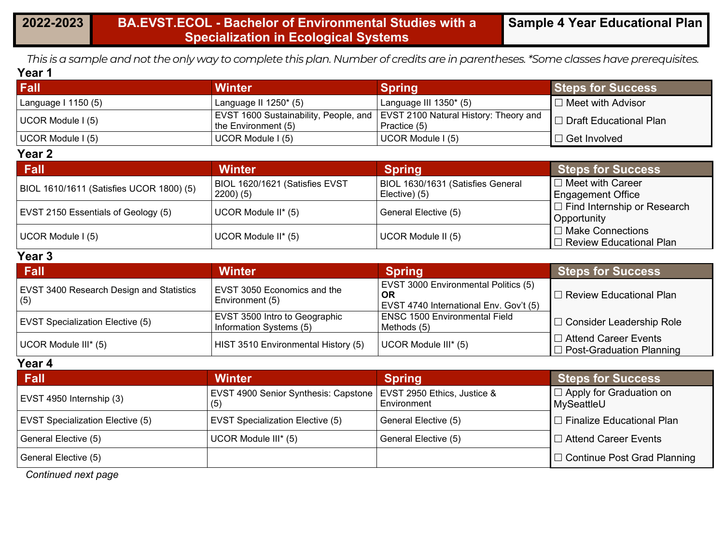*This is a sample and not the only way to complete this plan. Number of credits are in parentheses. \*Some classes have prerequisites.* **Year 1**

| Fall                                            | Winter                                                       | <b>Spring</b>                                                                               | <b>Steps for Success</b>                                  |
|-------------------------------------------------|--------------------------------------------------------------|---------------------------------------------------------------------------------------------|-----------------------------------------------------------|
| Language I 1150 (5)                             | Language II 1250* (5)                                        | Language III 1350* (5)                                                                      | $\Box$ Meet with Advisor                                  |
| UCOR Module I (5)                               | EVST 1600 Sustainability, People, and<br>the Environment (5) | EVST 2100 Natural History: Theory and<br>Practice (5)                                       | $\Box$ Draft Educational Plan                             |
| UCOR Module I (5)                               | UCOR Module I (5)                                            | UCOR Module I (5)                                                                           | $\Box$ Get Involved                                       |
| Year 2                                          |                                                              |                                                                                             |                                                           |
| <b>Fall</b>                                     | <b>Winter</b>                                                | <b>Spring</b>                                                                               | <b>Steps for Success</b>                                  |
| BIOL 1610/1611 (Satisfies UCOR 1800) (5)        | BIOL 1620/1621 (Satisfies EVST<br>2200(5)                    | BIOL 1630/1631 (Satisfies General<br>Elective) (5)                                          | $\Box$ Meet with Career<br><b>Engagement Office</b>       |
| EVST 2150 Essentials of Geology (5)             | UCOR Module II* (5)                                          | General Elective (5)                                                                        | $\Box$ Find Internship or Research<br>Opportunity         |
| UCOR Module I (5)                               | UCOR Module II* (5)                                          | UCOR Module II (5)                                                                          | $\Box$ Make Connections<br>□ Review Educational Plan      |
| Year 3                                          |                                                              |                                                                                             |                                                           |
| Fall                                            | <b>Winter</b>                                                | <b>Spring</b>                                                                               | <b>Steps for Success</b>                                  |
| EVST 3400 Research Design and Statistics<br>(5) | EVST 3050 Economics and the<br>Environment (5)               | EVST 3000 Environmental Politics (5)<br><b>OR</b><br>EVST 4740 International Env. Gov't (5) | $\Box$ Review Educational Plan                            |
| <b>EVST Specialization Elective (5)</b>         | EVST 3500 Intro to Geographic<br>Information Systems (5)     | <b>ENSC 1500 Environmental Field</b><br>Methods (5)                                         | □ Consider Leadership Role                                |
| UCOR Module III* (5)                            | HIST 3510 Environmental History (5)                          | UCOR Module III* (5)                                                                        | □ Attend Career Events<br>$\Box$ Post-Graduation Planning |
| Year 4                                          |                                                              |                                                                                             |                                                           |
| Fall                                            | <b>Winter</b>                                                | <b>Spring</b>                                                                               | <b>Steps for Success</b>                                  |
| EVST 4950 Internship (3)                        | EVST 4900 Senior Synthesis: Capstone<br>(5)                  | EVST 2950 Ethics, Justice &<br>Environment                                                  | $\Box$ Apply for Graduation on<br>MySeattleU              |
| <b>EVST Specialization Elective (5)</b>         | <b>EVST Specialization Elective (5)</b>                      | General Elective (5)                                                                        | $\Box$ Finalize Educational Plan                          |
| General Elective (5)                            | UCOR Module III* (5)                                         | General Elective (5)                                                                        | □ Attend Career Events                                    |
| General Elective (5)                            |                                                              |                                                                                             | $\Box$ Continue Post Grad Planning                        |

*Continued next page*